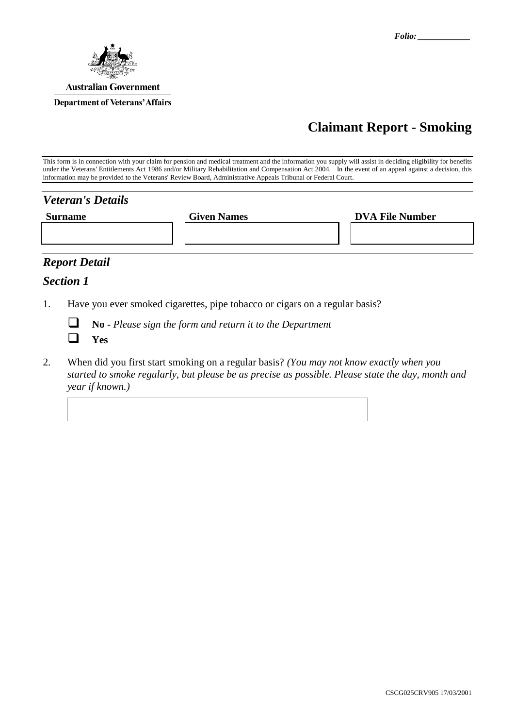

# **Claimant Report - Smoking**

This form is in connection with your claim for pension and medical treatment and the information you supply will assist in deciding eligibility for benefits under the Veterans' Entitlements Act 1986 and/or Military Rehabilitation and Compensation Act 2004. In the event of an appeal against a decision, this information may be provided to the Veterans' Review Board, Administrative Appeals Tribunal or Federal Court.

| <b>Veteran's Details</b> |                    |                        |
|--------------------------|--------------------|------------------------|
| <b>Surname</b>           | <b>Given Names</b> | <b>DVA File Number</b> |
|                          |                    |                        |
|                          |                    |                        |

## *Report Detail*

#### *Section 1*

1. Have you ever smoked cigarettes, pipe tobacco or cigars on a regular basis?



**No -** *Please sign the form and return it to the Department*

2. When did you first start smoking on a regular basis? *(You may not know exactly when you started to smoke regularly, but please be as precise as possible. Please state the day, month and year if known.)*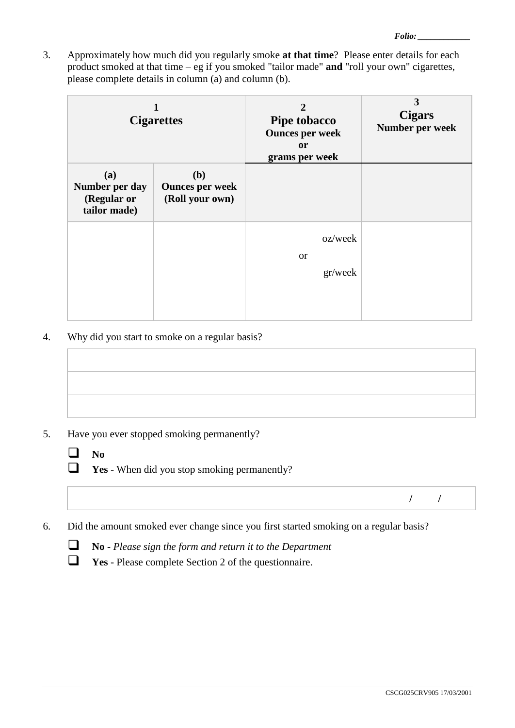3. Approximately how much did you regularly smoke **at that time**? Please enter details for each product smoked at that time – eg if you smoked "tailor made" **and** "roll your own" cigarettes, please complete details in column (a) and column (b).

|                                                      | <b>Cigarettes</b>                                | $\mathbf{2}$<br>Pipe tobacco<br><b>Ounces per week</b><br><b>or</b><br>grams per week | 3<br><b>Cigars</b><br>Number per week |
|------------------------------------------------------|--------------------------------------------------|---------------------------------------------------------------------------------------|---------------------------------------|
| (a)<br>Number per day<br>(Regular or<br>tailor made) | (b)<br><b>Ounces per week</b><br>(Roll your own) |                                                                                       |                                       |
|                                                      |                                                  | oz/week<br><b>or</b><br>gr/week                                                       |                                       |

4. Why did you start to smoke on a regular basis?

- 5. Have you ever stopped smoking permanently?
	- $\Box$  No
	- **T** Yes When did you stop smoking permanently?

- **/ /**
- 6. Did the amount smoked ever change since you first started smoking on a regular basis?
	- **No -** *Please sign the form and return it to the Department*
	- **Yes**  Please complete Section 2 of the questionnaire.